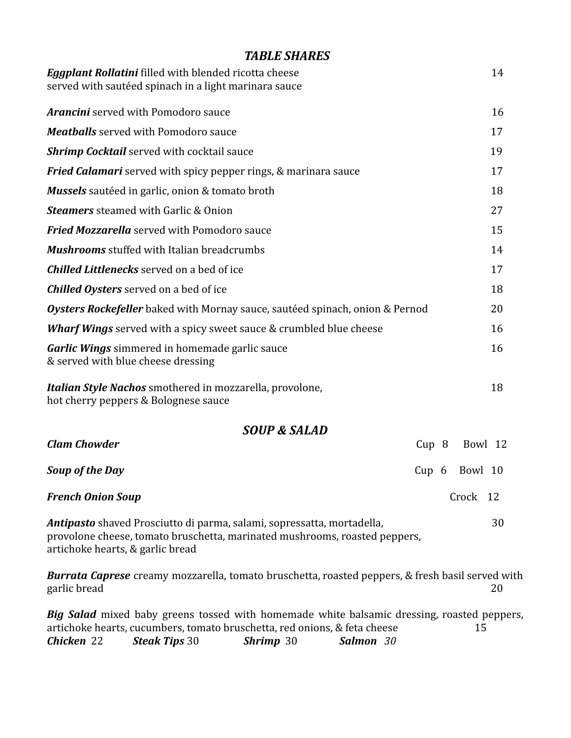## *TABLE SHARES*

| <b>Eggplant Rollatini</b> filled with blended ricotta cheese<br>served with sautéed spinach in a light marinara sauce                                                                           |                  |          | 14 |
|-------------------------------------------------------------------------------------------------------------------------------------------------------------------------------------------------|------------------|----------|----|
| <b>Arancini</b> served with Pomodoro sauce                                                                                                                                                      |                  |          | 16 |
| <b>Meatballs</b> served with Pomodoro sauce                                                                                                                                                     |                  |          | 17 |
| <b>Shrimp Cocktail</b> served with cocktail sauce                                                                                                                                               |                  |          | 19 |
|                                                                                                                                                                                                 |                  |          | 17 |
| Fried Calamari served with spicy pepper rings, & marinara sauce                                                                                                                                 |                  |          |    |
| <b>Mussels</b> sautéed in garlic, onion & tomato broth                                                                                                                                          |                  |          | 18 |
| <b>Steamers</b> steamed with Garlic & Onion                                                                                                                                                     |                  |          | 27 |
| <b>Fried Mozzarella</b> served with Pomodoro sauce                                                                                                                                              |                  |          | 15 |
| <b>Mushrooms</b> stuffed with Italian breadcrumbs                                                                                                                                               |                  |          | 14 |
| <b>Chilled Littlenecks</b> served on a bed of ice                                                                                                                                               |                  |          | 17 |
| <b>Chilled Oysters</b> served on a bed of ice                                                                                                                                                   |                  |          | 18 |
| Oysters Rockefeller baked with Mornay sauce, sautéed spinach, onion & Pernod                                                                                                                    |                  |          | 20 |
| <b>Wharf Wings</b> served with a spicy sweet sauce & crumbled blue cheese                                                                                                                       |                  |          | 16 |
| <b>Garlic Wings</b> simmered in homemade garlic sauce<br>& served with blue cheese dressing                                                                                                     |                  |          | 16 |
| Italian Style Nachos smothered in mozzarella, provolone,<br>hot cherry peppers & Bolognese sauce                                                                                                |                  |          | 18 |
| <b>SOUP &amp; SALAD</b>                                                                                                                                                                         |                  |          |    |
| <b>Clam Chowder</b>                                                                                                                                                                             | Cup <sub>8</sub> | Bowl 12  |    |
| <b>Soup of the Day</b>                                                                                                                                                                          | $Cup\ 6$         | Bowl 10  |    |
| <b>French Onion Soup</b>                                                                                                                                                                        |                  | Crock 12 |    |
| <b>Antipasto</b> shaved Prosciutto di parma, salami, sopressatta, mortadella,<br>provolone cheese, tomato bruschetta, marinated mushrooms, roasted peppers,<br>artichoke hearts, & garlic bread |                  |          | 30 |
| <b>Burrata Caprese</b> creamy mozzarella, tomato bruschetta, roasted peppers, & fresh basil served with<br>garlic bread                                                                         |                  |          | 20 |
| <b>Big Salad</b> mixed baby greens tossed with homemade white balsamic dressing, roasted peppers,<br>artichoke hearts, cucumbers, tomato bruschetta, red onions, & feta cheese                  |                  | 15       |    |

artichoke hearts, cucumbers, tomato bruschetta, red onions, & feta cheese 15 *Chicken* 22 *Steak Tips* 30 *Shrimp* 30 *Salmon 30*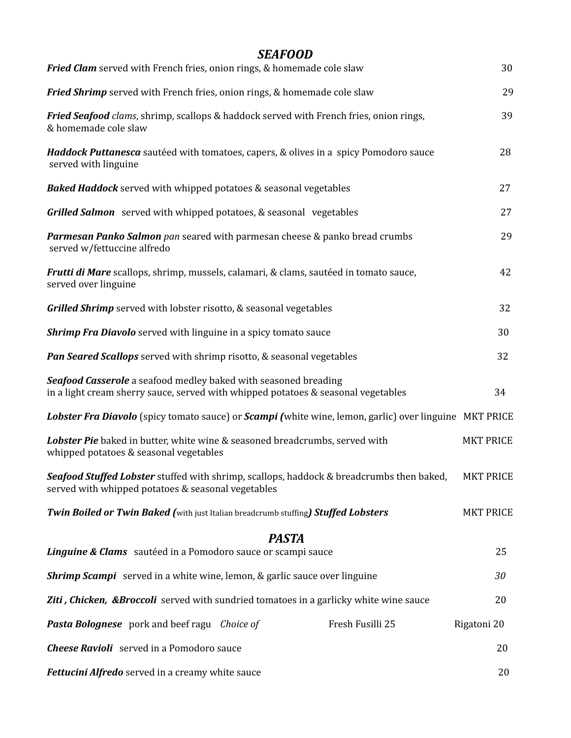| <b>SEAFOOD</b><br>Fried Clam served with French fries, onion rings, & homemade cole slaw                                                             | 30               |
|------------------------------------------------------------------------------------------------------------------------------------------------------|------------------|
| Fried Shrimp served with French fries, onion rings, & homemade cole slaw                                                                             | 29               |
| Fried Seafood clams, shrimp, scallops & haddock served with French fries, onion rings,<br>& homemade cole slaw                                       | 39               |
| <b>Haddock Puttanesca</b> sautéed with tomatoes, capers, & olives in a spicy Pomodoro sauce<br>served with linguine                                  | 28               |
| <b>Baked Haddock</b> served with whipped potatoes & seasonal vegetables                                                                              | 27               |
| <b>Grilled Salmon</b> served with whipped potatoes, & seasonal vegetables                                                                            | 27               |
| Parmesan Panko Salmon pan seared with parmesan cheese & panko bread crumbs<br>served w/fettuccine alfredo                                            | 29               |
| Frutti di Mare scallops, shrimp, mussels, calamari, & clams, sautéed in tomato sauce,<br>served over linguine                                        | 42               |
| Grilled Shrimp served with lobster risotto, & seasonal vegetables                                                                                    | 32               |
| <b>Shrimp Fra Diavolo</b> served with linguine in a spicy tomato sauce                                                                               | 30               |
| Pan Seared Scallops served with shrimp risotto, & seasonal vegetables                                                                                | 32               |
| Seafood Casserole a seafood medley baked with seasoned breading<br>in a light cream sherry sauce, served with whipped potatoes & seasonal vegetables | 34               |
| Lobster Fra Diavolo (spicy tomato sauce) or Scampi (white wine, lemon, garlic) over linguine MKT PRICE                                               |                  |
| Lobster Pie baked in butter, white wine & seasoned breadcrumbs, served with<br>whipped potatoes & seasonal vegetables                                | <b>MKT PRICE</b> |
| Seafood Stuffed Lobster stuffed with shrimp, scallops, haddock & breadcrumbs then baked,<br>served with whipped potatoes & seasonal vegetables       | <b>MKT PRICE</b> |
| <b>Twin Boiled or Twin Baked (with just Italian breadcrumb stuffing) Stuffed Lobsters</b>                                                            | <b>MKT PRICE</b> |
| <b>PASTA</b>                                                                                                                                         |                  |
| Linguine & Clams sautéed in a Pomodoro sauce or scampi sauce                                                                                         | 25               |
| <b>Shrimp Scampi</b> served in a white wine, lemon, & garlic sauce over linguine                                                                     |                  |
| <b>Ziti, Chicken, &amp;Broccoli</b> served with sundried tomatoes in a garlicky white wine sauce                                                     | 20               |
| <b>Pasta Bolognese</b> pork and beef ragu <i>Choice of</i><br>Fresh Fusilli 25                                                                       | Rigatoni 20      |
| <b>Cheese Ravioli</b> served in a Pomodoro sauce                                                                                                     | 20               |
| Fettucini Alfredo served in a creamy white sauce                                                                                                     | 20               |